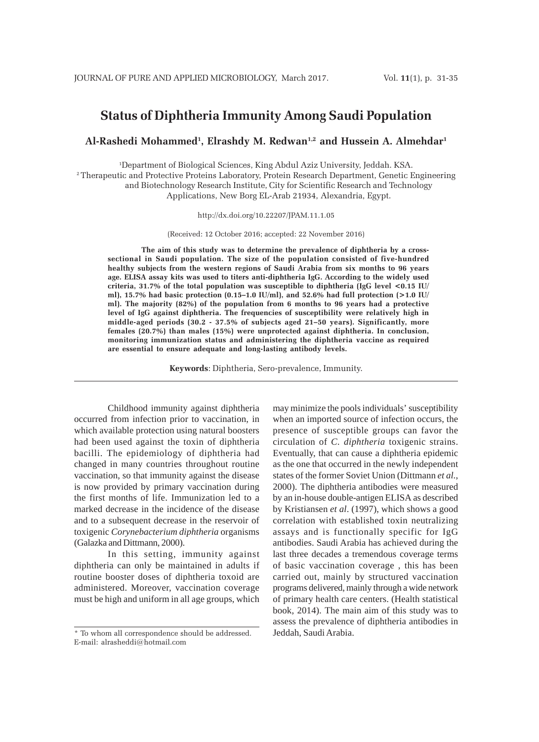# **Status of Diphtheria Immunity Among Saudi Population**

# **Al-Rashedi Mohammed1 , Elrashdy M. Redwan1,2 and Hussein A. Almehdar1**

1 Department of Biological Sciences, King Abdul Aziz University, Jeddah. KSA. 2 Therapeutic and Protective Proteins Laboratory, Protein Research Department, Genetic Engineering and Biotechnology Research Institute, City for Scientific Research and Technology Applications, New Borg EL-Arab 21934, Alexandria, Egypt.

http://dx.doi.org/10.22207/JPAM.11.1.05

(Received: 12 October 2016; accepted: 22 November 2016)

**The aim of this study was to determine the prevalence of diphtheria by a crosssectional in Saudi population. The size of the population consisted of five-hundred healthy subjects from the western regions of Saudi Arabia from six months to 96 years age. ELISA assay kits was used to titers anti-diphtheria IgG. According to the widely used criteria, 31.7% of the total population was susceptible to diphtheria (IgG level** *<***0.15 IU/ ml), 15.7% had basic protection (0.15–1.0 IU/ml), and 52.6% had full protection (***>***1.0 IU/ ml). The majority (82%) of the population from 6 months to 96 years had a protective level of IgG against diphtheria. The frequencies of susceptibility were relatively high in middle-aged periods (30.2 - 37.5% of subjects aged 21–50 years). Significantly, more females (20.7%) than males (15%) were unprotected against diphtheria. In conclusion, monitoring immunization status and administering the diphtheria vaccine as required are essential to ensure adequate and long-lasting antibody levels.**

**Keywords**: Diphtheria, Sero-prevalence, Immunity.

Childhood immunity against diphtheria occurred from infection prior to vaccination, in which available protection using natural boosters had been used against the toxin of diphtheria bacilli. The epidemiology of diphtheria had changed in many countries throughout routine vaccination, so that immunity against the disease is now provided by primary vaccination during the first months of life. Immunization led to a marked decrease in the incidence of the disease and to a subsequent decrease in the reservoir of toxigenic *Corynebacterium diphtheria* organisms (Galazka and Dittmann, 2000).

In this setting, immunity against diphtheria can only be maintained in adults if routine booster doses of diphtheria toxoid are administered. Moreover, vaccination coverage must be high and uniform in all age groups, which

may minimize the pools individuals' susceptibility when an imported source of infection occurs, the presence of susceptible groups can favor the circulation of *C. diphtheria* toxigenic strains. Eventually, that can cause a diphtheria epidemic as the one that occurred in the newly independent states of the former Soviet Union (Dittmann *et al*., 2000). The diphtheria antibodies were measured by an in-house double-antigen ELISA as described by Kristiansen *et al*. (1997), which shows a good correlation with established toxin neutralizing assays and is functionally specific for IgG antibodies. Saudi Arabia has achieved during the last three decades a tremendous coverage terms of basic vaccination coverage , this has been carried out, mainly by structured vaccination programs delivered, mainly through a wide network of primary health care centers. (Health statistical book, 2014). The main aim of this study was to assess the prevalence of diphtheria antibodies in Jeddah, Saudi Arabia.

<sup>\*</sup> To whom all correspondence should be addressed. E-mail: alrasheddi@hotmail.com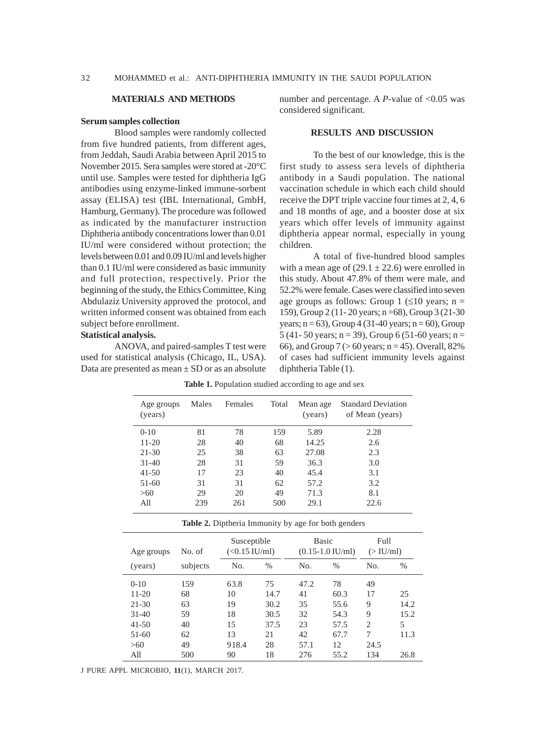# 32 MOHAMMED et al.: ANTI-DIPHTHERIA IMMUNITY IN THE SAUDI POPULATION

#### **MATERIALS AND METHODS**

#### **Serum samples collection**

Blood samples were randomly collected from five hundred patients, from different ages, from Jeddah, Saudi Arabia between April 2015 to November 2015. Sera samples were stored at -20°C until use. Samples were tested for diphtheria IgG antibodies using enzyme-linked immune-sorbent assay (ELISA) test (IBL International, GmbH, Hamburg, Germany). The procedure was followed as indicated by the manufacturer instruction Diphtheria antibody concentrations lower than 0.01 IU/ml were considered without protection; the levels between 0.01 and 0.09 IU/ml and levels higher than 0.1 IU/ml were considered as basic immunity and full protection, respectively. Prior the beginning of the study, the Ethics Committee, King Abdulaziz University approved the protocol, and written informed consent was obtained from each subject before enrollment.

# **Statistical analysis.**

ANOVA, and paired-samples T test were used for statistical analysis (Chicago, IL, USA). Data are presented as mean  $\pm$  SD or as an absolute

number and percentage. A  $P$ -value of  $\langle 0.05 \rangle$  was considered significant.

## **RESULTS AND DISCUSSION**

To the best of our knowledge, this is the first study to assess sera levels of diphtheria antibody in a Saudi population. The national vaccination schedule in which each child should receive the DPT triple vaccine four times at 2, 4, 6 and 18 months of age, and a booster dose at six years which offer levels of immunity against diphtheria appear normal, especially in young children.

A total of five-hundred blood samples with a mean age of  $(29.1 \pm 22.6)$  were enrolled in this study. About 47.8% of them were male, and 52.2% were female. Cases were classified into seven age groups as follows: Group 1 ( $\leq 10$  years; n = 159), Group 2 (11- 20 years; n =68), Group 3 (21-30 years;  $n = 63$ ), Group 4 (31-40 years;  $n = 60$ ), Group 5 (41- 50 years;  $n = 39$ ), Group 6 (51-60 years;  $n =$ 66), and Group  $7$  ( $> 60$  years; n = 45). Overall, 82% of cases had sufficient immunity levels against diphtheria Table (1).

| Age groups<br>(years) | Males | Females | Total | Mean age<br>(years) | <b>Standard Deviation</b><br>of Mean (years) |
|-----------------------|-------|---------|-------|---------------------|----------------------------------------------|
| $0 - 10$              | 81    | 78      | 159   | 5.89                | 2.28                                         |
| $11 - 20$             | 28    | 40      | 68    | 14.25               | 2.6                                          |
| 21-30                 | 25    | 38      | 63    | 27.08               | 2.3                                          |
| $31 - 40$             | 28    | 31      | 59    | 36.3                | 3.0                                          |
| $41 - 50$             | 17    | 23      | 40    | 45.4                | 3.1                                          |
| 51-60                 | 31    | 31      | 62    | 57.2                | 3.2                                          |
| >60                   | 29    | 20      | 49    | 71.3                | 8.1                                          |
| All                   | 239   | 261     | 500   | 29.1                | 22.6                                         |

Table 1. Population studied according to age and sex

| <b>Table 2.</b> Diptheria Immunity by age for both genders |          |                                |      |                                            |      |                       |      |  |  |  |  |
|------------------------------------------------------------|----------|--------------------------------|------|--------------------------------------------|------|-----------------------|------|--|--|--|--|
| Age groups                                                 | No. of   | Susceptible<br>$(<0.15$ IU/ml) |      | <b>Basic</b><br>$(0.15-1.0 \text{ IU/ml})$ |      | Full<br>$($ IU/ml $)$ |      |  |  |  |  |
| (years)                                                    | subjects | No.                            | $\%$ | N <sub>0</sub>                             | $\%$ | No.                   | $\%$ |  |  |  |  |
| $0-10$                                                     | 159      | 63.8                           | 75   | 47.2                                       | 78   | 49                    |      |  |  |  |  |
| $11 - 20$                                                  | 68       | 10                             | 14.7 | 41                                         | 60.3 | 17                    | 25   |  |  |  |  |
| $21 - 30$                                                  | 63       | 19                             | 30.2 | 35                                         | 55.6 | 9                     | 14.2 |  |  |  |  |
| $31-40$                                                    | 59       | 18                             | 30.5 | 32                                         | 54.3 | 9                     | 15.2 |  |  |  |  |
| $41 - 50$                                                  | 40       | 15                             | 37.5 | 23                                         | 57.5 | $\overline{2}$        | 5    |  |  |  |  |
| $51-60$                                                    | 62       | 13                             | 21   | 42                                         | 67.7 | 7                     | 11.3 |  |  |  |  |
| >60                                                        | 49       | 918.4                          | 28   | 57.1                                       | 12   | 24.5                  |      |  |  |  |  |
| All                                                        | 500      | 90                             | 18   | 276                                        | 55.2 | 134                   | 26.8 |  |  |  |  |

J PURE APPL MICROBIO*,* **11**(1), MARCH 2017.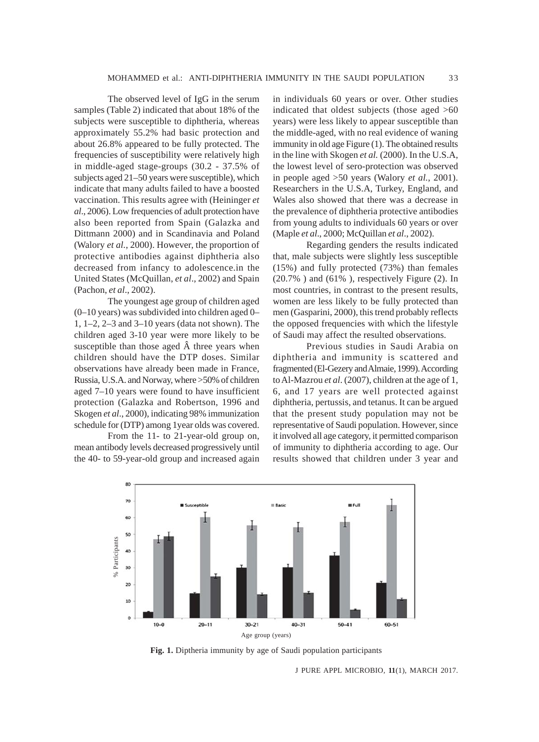The observed level of IgG in the serum samples (Table 2) indicated that about 18% of the subjects were susceptible to diphtheria, whereas approximately 55.2% had basic protection and about 26.8% appeared to be fully protected. The frequencies of susceptibility were relatively high in middle-aged stage-groups (30.2 - 37.5% of subjects aged 21–50 years were susceptible), which indicate that many adults failed to have a boosted vaccination. This results agree with (Heininger *et al*., 2006). Low frequencies of adult protection have also been reported from Spain (Galazka and Dittmann 2000) and in Scandinavia and Poland (Walory *et al.*, 2000). However, the proportion of protective antibodies against diphtheria also decreased from infancy to adolescence.in the United States (McQuillan, *et al*., 2002) and Spain (Pachon, *et al*., 2002).

The youngest age group of children aged (0–10 years) was subdivided into children aged 0– 1, 1–2, 2–3 and 3–10 years (data not shown). The children aged 3-10 year were more likely to be susceptible than those aged  $\hat{A}$  three years when children should have the DTP doses. Similar observations have already been made in France, Russia, U.S.A. and Norway, where >50% of children aged 7–10 years were found to have insufficient protection (Galazka and Robertson, 1996 and Skogen *et al*., 2000), indicating 98% immunization schedule for (DTP) among 1year olds was covered.

From the 11- to 21-year-old group on, mean antibody levels decreased progressively until the 40- to 59-year-old group and increased again in individuals 60 years or over. Other studies indicated that oldest subjects (those aged >60 years) were less likely to appear susceptible than the middle-aged, with no real evidence of waning immunity in old age Figure (1). The obtained results in the line with Skogen *et al.* (2000). In the U.S.A, the lowest level of sero-protection was observed in people aged >50 years (Walory *et al.*, 2001). Researchers in the U.S.A, Turkey, England, and Wales also showed that there was a decrease in the prevalence of diphtheria protective antibodies from young adults to individuals 60 years or over (Maple *et al*., 2000; McQuillan *et al*., 2002).

Regarding genders the results indicated that, male subjects were slightly less susceptible (15%) and fully protected (73%) than females (20.7% ) and (61% ), respectively Figure (2). In most countries, in contrast to the present results, women are less likely to be fully protected than men (Gasparini, 2000), this trend probably reflects the opposed frequencies with which the lifestyle of Saudi may affect the resulted observations.

Previous studies in Saudi Arabia on diphtheria and immunity is scattered and fragmented (El-Gezery and Almaie, 1999). According to Al-Mazrou *et al*. (2007), children at the age of 1, 6, and 17 years are well protected against diphtheria, pertussis, and tetanus. It can be argued that the present study population may not be representative of Saudi population. However, since it involved all age category, it permitted comparison of immunity to diphtheria according to age. Our results showed that children under 3 year and



**Fig. 1.** Diptheria immunity by age of Saudi population participants

J PURE APPL MICROBIO*,* **11**(1), MARCH 2017.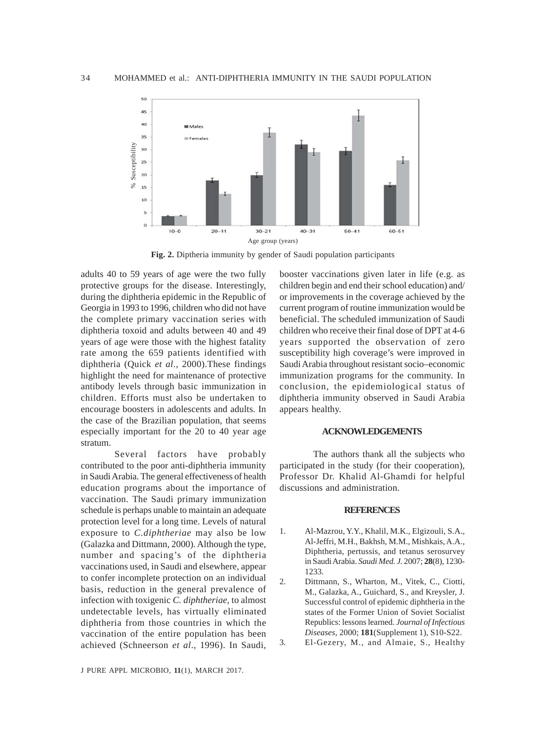

**Fig. 2.** Diptheria immunity by gender of Saudi population participants

adults 40 to 59 years of age were the two fully protective groups for the disease. Interestingly, during the diphtheria epidemic in the Republic of Georgia in 1993 to 1996, children who did not have the complete primary vaccination series with diphtheria toxoid and adults between 40 and 49 years of age were those with the highest fatality rate among the 659 patients identified with diphtheria (Quick *et al*., 2000).These findings highlight the need for maintenance of protective antibody levels through basic immunization in children. Efforts must also be undertaken to encourage boosters in adolescents and adults. In the case of the Brazilian population, that seems especially important for the 20 to 40 year age stratum.

Several factors have probably contributed to the poor anti-diphtheria immunity in Saudi Arabia. The general effectiveness of health education programs about the importance of vaccination. The Saudi primary immunization schedule is perhaps unable to maintain an adequate protection level for a long time. Levels of natural exposure to *C.diphtheriae* may also be low (Galazka and Dittmann, 2000). Although the type, number and spacing's of the diphtheria vaccinations used, in Saudi and elsewhere, appear to confer incomplete protection on an individual basis, reduction in the general prevalence of infection with toxigenic *C. diphtheriae*, to almost undetectable levels, has virtually eliminated diphtheria from those countries in which the vaccination of the entire population has been achieved (Schneerson *et al*., 1996). In Saudi,

J PURE APPL MICROBIO*,* **11**(1), MARCH 2017.

booster vaccinations given later in life (e.g. as children begin and end their school education) and/ or improvements in the coverage achieved by the current program of routine immunization would be beneficial. The scheduled immunization of Saudi children who receive their final dose of DPT at 4-6 years supported the observation of zero susceptibility high coverage's were improved in Saudi Arabia throughout resistant socio–economic immunization programs for the community. In conclusion, the epidemiological status of diphtheria immunity observed in Saudi Arabia appears healthy.

## **ACKNOWLEDGEMENTS**

The authors thank all the subjects who participated in the study (for their cooperation), Professor Dr. Khalid Al-Ghamdi for helpful discussions and administration.

## **REFERENCES**

- 1. Al-Mazrou, Y.Y., Khalil, M.K., Elgizouli, S.A., Al-Jeffri, M.H., Bakhsh, M.M., Mishkais, A.A., Diphtheria, pertussis, and tetanus serosurvey in Saudi Arabia. *Saudi Med. J.* 2007; **28**(8), 1230- 1233.
- 2. Dittmann, S., Wharton, M., Vitek, C., Ciotti, M., Galazka, A., Guichard, S., and Kreysler, J. Successful control of epidemic diphtheria in the states of the Former Union of Soviet Socialist Republics: lessons learned. *Journal of Infectious Diseases,* 2000; **181**(Supplement 1), S10-S22.
- 3. El-Gezery, M., and Almaie, S., Healthy